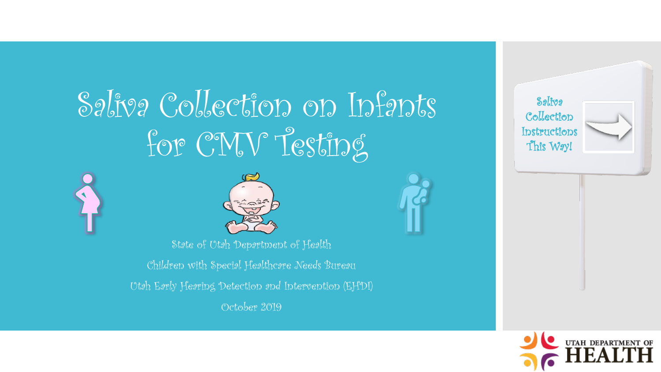# Saliva Collection on Infants for CMV Testing





State of Utah Department of Health

Children with Special Healthcare Needs Bureau

Utah Early Hearing Detection and Intervention (EHDI)

October 2019



Saliva Collection Instructions This Way!

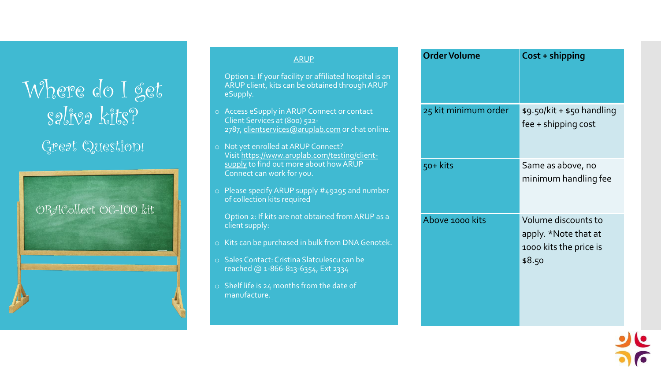### Where do I get saliva kits? Great Question!

ORACollect OC-100 kit

|         | <b>ARUP</b>                                                                                                                                               | <b>Order Volume</b>  |
|---------|-----------------------------------------------------------------------------------------------------------------------------------------------------------|----------------------|
|         | Option 1: If your facility or affiliated hospital is an<br>ARUP client, kits can be obtained through ARUP<br>eSupply.                                     |                      |
|         | o Access eSupply in ARUP Connect or contact<br>Client Services at (800) 522-<br>2787, clientservices@aruplab.com or chat online.                          | 25 kit minimum order |
| $\circ$ | Not yet enrolled at ARUP Connect?<br>Visit https://www.aruplab.com/testing/client-<br>supply to find out more about how ARUP<br>Connect can work for you. | $50+$ kits           |
| $\circ$ | Please specify ARUP supply #49295 and number<br>of collection kits required                                                                               |                      |
|         | Option 2: If kits are not obtained from ARUP as a<br>client supply:                                                                                       | Above 1000 kits      |
| $\circ$ | Kits can be purchased in bulk from DNA Genotek.                                                                                                           |                      |
| $\circ$ | Sales Contact: Cristina Slatculescu can be<br>reached @ 1-866-813-6354, Ext 2334                                                                          |                      |
| $\circ$ | Shelf life is 24 months from the date of<br>manufacture.                                                                                                  |                      |
|         |                                                                                                                                                           |                      |

| <b>Order Volume</b>  | Cost + shipping                                                                 |
|----------------------|---------------------------------------------------------------------------------|
| 25 kit minimum order | $$9.50/kit + $50$ handling<br>fee + shipping cost                               |
| 50+ kits             | Same as above, no<br>minimum handling fee                                       |
| Above 1000 kits      | Volume discounts to<br>apply. *Note that at<br>1000 kits the price is<br>\$8.50 |

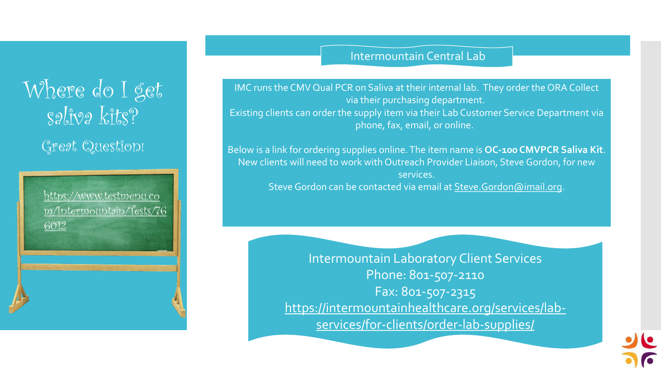## Where do I get saliva kits? Great Question!

https://www.testmenu.co [m/Intermountain/Tests/76](https://www.testmenu.com/Intermountain/Tests/766012) 6012

#### Intermountain Central Lab

IMC runs the CMV Qual PCR on Saliva at their internal lab. They order the ORA Collect via their purchasing department. Existing clients can order the supply item via their Lab Customer Service Department via phone, fax, email, or online.

Below is a link for ordering supplies online. The item name is **OC-100 CMVPCR Saliva Kit**. New clients will need to work with Outreach Provider Liaison, Steve Gordon, for new services. Steve Gordon can be contacted via email at [Steve.Gordon@imail.org](mailto:Steve.Gordon@imail.org).

> Intermountain Laboratory Client Services Phone: 801-507-2110 Fax: 801-507-2315 [https://intermountainhealthcare.org/services/lab](https://intermountainhealthcare.org/services/lab-services/for-clients/order-lab-supplies/)services/for-clients/order-lab-supplies/

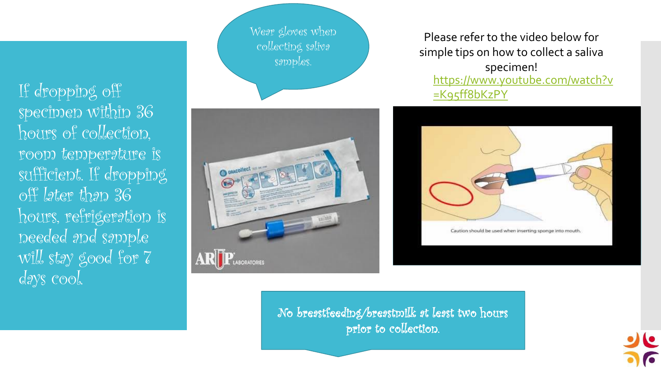If dropping off specimen within 36 hours of collection, room temperature is sufficient. If dropping off later than 36 hours, refrigeration is needed and sample  $|w_1^*|$ , stay good for  $7^{\prime}$ days cool.

Wear gloves when collecting saliva samples.



Please refer to the video below for simple tips on how to collect a saliva specimen! [https://www.youtube.com/watch?v](https://www.youtube.com/watch?v=K95ff8bKzPY) =K95ff8bKzPY



No breastfeeding/breastmilk at least two hours prior to collection.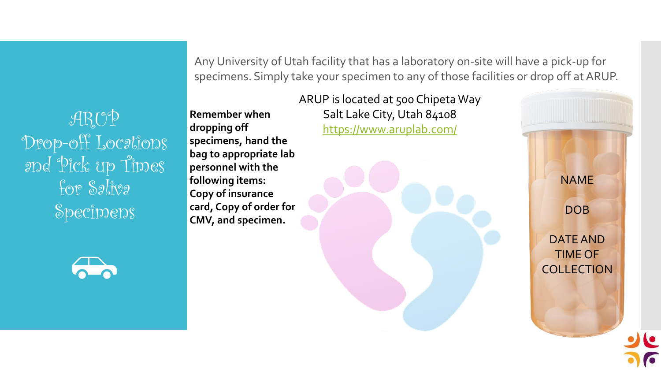ARUP Drop-off Locations and Pick up Times For Saliva **Specimens** 

Any University of Utah facility that has a laboratory on-site will have a pick-up for specimens. Simply take your specimen to any of those facilities or drop off at ARUP.

**Remember when dropping off specimens, hand the bag to appropriate lab personnel with the following items: Copy of insurance card, Copy of order for CMV, and specimen.**

ARUP is located at 500 Chipeta Way Salt Lake City, Utah 84108 <https://www.aruplab.com/>

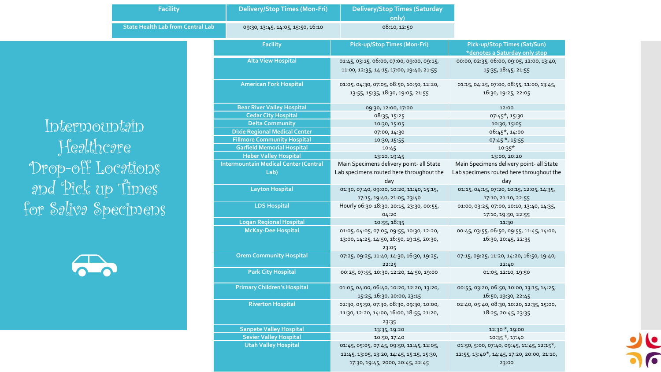|                      | <b>Facility</b>                          | <b>Delivery/Stop Times (Mon-Fri)</b>         | <b>Delivery/Stop Times (Saturday</b><br>only)                                                   |                                                                  |
|----------------------|------------------------------------------|----------------------------------------------|-------------------------------------------------------------------------------------------------|------------------------------------------------------------------|
|                      | <b>State Health Lab from Central Lab</b> | 09:30, 13:45, 14:05, 15:50, 16:10            | 08:10, 12:50                                                                                    |                                                                  |
|                      |                                          | <b>Facility</b>                              | Pick-up/Stop Times (Mon-Fri)                                                                    | Pick-up/Stop Times (Sat/Sun)<br>*denotes a Saturday only stop    |
|                      |                                          | <b>Alta View Hospital</b>                    | 01:45, 03:15, 06:00, 07:00, 09:00, 09:15,<br>11:00, 12:35, 14:15, 17:00, 19:40, 21:55           | 00:00, 02:35, 06:00, 09:05, 12:00, 13:40,<br>15:35, 18:45, 21:55 |
|                      |                                          | <b>American Fork Hospital</b>                | 01:05, 04:30, 07:05, 08:50, 10:50, 12:20,<br>13:55, 15:35, 18:30, 19:05, 21:55                  | 01:15, 04:25, 07:00, 08:55, 11:00, 13:45,<br>16:30, 19:25, 22:05 |
|                      |                                          | <b>Bear River Valley Hospital</b>            | 09:30, 12:00, 17:00                                                                             | 12:00                                                            |
|                      |                                          | <b>Cedar City Hospital</b>                   | 08:35, 15:25                                                                                    | 07:45*, 15:30                                                    |
| Intermountain        |                                          | <b>Delta Community</b>                       | 10:30, 15:05                                                                                    | 10:30, 15:05                                                     |
|                      |                                          | <b>Dixie Regional Medical Center</b>         | 07:00, 14:30                                                                                    | 06:45*, 14:00                                                    |
|                      |                                          | <b>Fillmore Community Hospital</b>           | 10:30, 15:55                                                                                    | $07:45$ $*$ , 15:55                                              |
| Healthcare           |                                          | <b>Garfield Memorial Hospital</b>            | 10:45                                                                                           | $10:35*$                                                         |
|                      |                                          | <b>Heber Valley Hospital</b>                 | 13:10, 19:45                                                                                    | 13:00, 20:20                                                     |
| Drop-off Locations   |                                          | <b>Intermountain Medical Center (Central</b> | Main Specimens delivery point- all State                                                        | Main Specimens delivery point- all State                         |
|                      |                                          | Lab)                                         | Lab specimens routed here throughout the                                                        | Lab specimens routed here throughout the                         |
|                      |                                          |                                              | day                                                                                             | day                                                              |
| and Pick up Times    |                                          | <b>Layton Hospital</b>                       | 01:30, 07:40, 09:00, 10:20, 11:40, 15:15,                                                       | 01:15, 04:15, 07:20, 10:15, 12:05, 14:35,                        |
|                      |                                          | <b>LDS Hospital</b>                          | 17:15, 19:40, 21:05, 23:40                                                                      | 17:10, 21:10, 22:55                                              |
| for Saliva Specimens |                                          |                                              | Hourly 06:30-18:30, 20:15, 23:30, 00:55,<br>04:20                                               | 01:00, 03:25, 07:00, 10:10, 13:40, 14:35,<br>17:10, 19:50, 22:55 |
|                      |                                          | <b>Logan Regional Hospital</b>               | 10:55, 18:35                                                                                    | 11:30                                                            |
|                      |                                          | <b>McKay-Dee Hospital</b>                    | 01:05, 04:05, 07:05, 09:55, 10:30, 12:20,                                                       | 00:45, 03:55, 06:50, 09:55, 11:45, 14:00,                        |
|                      |                                          |                                              | 13:00, 14:25, 14:50, 16:50, 19:15, 20:30,                                                       | 16:30, 20:45, 22:35                                              |
|                      |                                          | <b>Orem Community Hospital</b>               | 23:05<br>07:25, 09:25, 11:40, 14:30, 16:30, 19:25,                                              | 07:15, 09:25, 11:20, 14:20, 16:50, 19:40,                        |
|                      |                                          |                                              | 22:25                                                                                           | 22:40                                                            |
|                      |                                          | <b>Park City Hospital</b>                    | 00:25, 07:55, 10:30, 12:20, 14:50, 19:00                                                        | 01:05, 12:10, 19:50                                              |
|                      |                                          | <b>Primary Children's Hospital</b>           | 01:05, 04:00, 06:40, 10:20, 12:20, 13:20,<br>15:25, 16:30, 20:00, 23:15                         | 00:55, 03:20, 06:50, 10:00, 13:15, 14:25,<br>16:50, 19:30, 22:45 |
|                      |                                          | <b>Riverton Hospital</b>                     | 02:30, 05:50, 07:30, 08:30, 09:30, 10:00,<br>11:30, 12:20, 14:00, 16:00, 18:55, 21:20,<br>23:35 | 02:40, 05:40, 08:30, 10:20, 12:35, 15:00,<br>18:25, 20:45, 23:35 |
|                      |                                          | <b>Sanpete Valley Hospital</b>               | 13:35, 19:20                                                                                    | 12:30 *, 19:00                                                   |
|                      |                                          | <b>Sevier Valley Hospital</b>                | 10:50, 17:40                                                                                    | $10:35$ $*$ , 17:40                                              |
|                      |                                          | <b>Utah Valley Hospital</b>                  | 01:45, 05:05, 07:45, 09:50, 11:45, 12:05,                                                       | 01:50, 5:00, 07:40, 09:45, 11:45, 12:15*,                        |
|                      |                                          |                                              | 12:45, 13:05, 13:20, 14:45, 15:15, 15:30,<br>17:30, 19:45, 2000, 20:45, 22:45                   | 12:55, 13:40*, 14:45, 17:20, 20:00, 21:10,<br>23:00              |